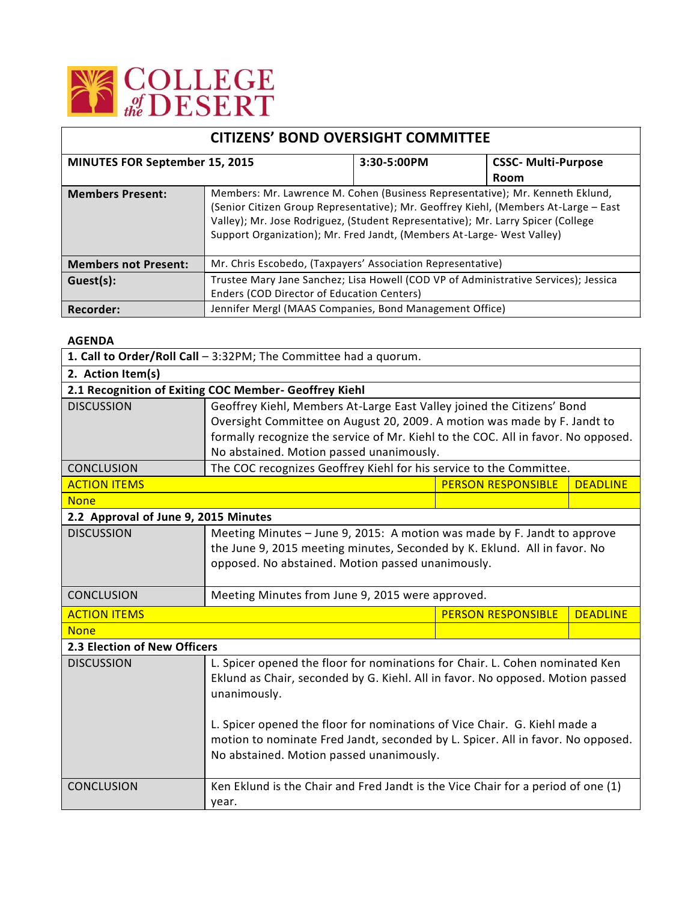

| <b>CITIZENS' BOND OVERSIGHT COMMITTEE</b> |                                                                                                                                                                                                                                                                                                                                    |             |                            |  |
|-------------------------------------------|------------------------------------------------------------------------------------------------------------------------------------------------------------------------------------------------------------------------------------------------------------------------------------------------------------------------------------|-------------|----------------------------|--|
| <b>MINUTES FOR September 15, 2015</b>     |                                                                                                                                                                                                                                                                                                                                    | 3:30-5:00PM | <b>CSSC- Multi-Purpose</b> |  |
|                                           |                                                                                                                                                                                                                                                                                                                                    |             | Room                       |  |
| <b>Members Present:</b>                   | Members: Mr. Lawrence M. Cohen (Business Representative); Mr. Kenneth Eklund,<br>(Senior Citizen Group Representative); Mr. Geoffrey Kiehl, (Members At-Large - East<br>Valley); Mr. Jose Rodriguez, (Student Representative); Mr. Larry Spicer (College<br>Support Organization); Mr. Fred Jandt, (Members At-Large- West Valley) |             |                            |  |
| <b>Members not Present:</b>               | Mr. Chris Escobedo, (Taxpayers' Association Representative)                                                                                                                                                                                                                                                                        |             |                            |  |
| Guest(s):                                 | Trustee Mary Jane Sanchez; Lisa Howell (COD VP of Administrative Services); Jessica                                                                                                                                                                                                                                                |             |                            |  |
|                                           | Enders (COD Director of Education Centers)                                                                                                                                                                                                                                                                                         |             |                            |  |
| Recorder:                                 | Jennifer Mergl (MAAS Companies, Bond Management Office)                                                                                                                                                                                                                                                                            |             |                            |  |

## **AGENDA**

| 1. Call to Order/Roll Call - 3:32PM; The Committee had a quorum. |                                                                                   |                           |                 |  |  |  |
|------------------------------------------------------------------|-----------------------------------------------------------------------------------|---------------------------|-----------------|--|--|--|
| 2. Action Item(s)                                                |                                                                                   |                           |                 |  |  |  |
| 2.1 Recognition of Exiting COC Member- Geoffrey Kiehl            |                                                                                   |                           |                 |  |  |  |
| <b>DISCUSSION</b>                                                | Geoffrey Kiehl, Members At-Large East Valley joined the Citizens' Bond            |                           |                 |  |  |  |
|                                                                  | Oversight Committee on August 20, 2009. A motion was made by F. Jandt to          |                           |                 |  |  |  |
|                                                                  | formally recognize the service of Mr. Kiehl to the COC. All in favor. No opposed. |                           |                 |  |  |  |
|                                                                  | No abstained. Motion passed unanimously.                                          |                           |                 |  |  |  |
| <b>CONCLUSION</b>                                                | The COC recognizes Geoffrey Kiehl for his service to the Committee.               |                           |                 |  |  |  |
| <b>ACTION ITEMS</b>                                              |                                                                                   | <b>PERSON RESPONSIBLE</b> | <b>DEADLINE</b> |  |  |  |
| <b>None</b>                                                      |                                                                                   |                           |                 |  |  |  |
| 2.2 Approval of June 9, 2015 Minutes                             |                                                                                   |                           |                 |  |  |  |
| <b>DISCUSSION</b>                                                | Meeting Minutes - June 9, 2015: A motion was made by F. Jandt to approve          |                           |                 |  |  |  |
|                                                                  | the June 9, 2015 meeting minutes, Seconded by K. Eklund. All in favor. No         |                           |                 |  |  |  |
|                                                                  | opposed. No abstained. Motion passed unanimously.                                 |                           |                 |  |  |  |
|                                                                  |                                                                                   |                           |                 |  |  |  |
| <b>CONCLUSION</b>                                                | Meeting Minutes from June 9, 2015 were approved.                                  |                           |                 |  |  |  |
| <b>ACTION ITEMS</b>                                              | <b>PERSON RESPONSIBLE</b>                                                         |                           | <b>DEADLINE</b> |  |  |  |
| <b>None</b>                                                      |                                                                                   |                           |                 |  |  |  |
| 2.3 Election of New Officers                                     |                                                                                   |                           |                 |  |  |  |
| <b>DISCUSSION</b>                                                | L. Spicer opened the floor for nominations for Chair. L. Cohen nominated Ken      |                           |                 |  |  |  |
|                                                                  | Eklund as Chair, seconded by G. Kiehl. All in favor. No opposed. Motion passed    |                           |                 |  |  |  |
|                                                                  | unanimously.                                                                      |                           |                 |  |  |  |
|                                                                  | L. Spicer opened the floor for nominations of Vice Chair. G. Kiehl made a         |                           |                 |  |  |  |
|                                                                  | motion to nominate Fred Jandt, seconded by L. Spicer. All in favor. No opposed.   |                           |                 |  |  |  |
|                                                                  | No abstained. Motion passed unanimously.                                          |                           |                 |  |  |  |
|                                                                  |                                                                                   |                           |                 |  |  |  |
| <b>CONCLUSION</b>                                                | Ken Eklund is the Chair and Fred Jandt is the Vice Chair for a period of one (1)  |                           |                 |  |  |  |
|                                                                  | year.                                                                             |                           |                 |  |  |  |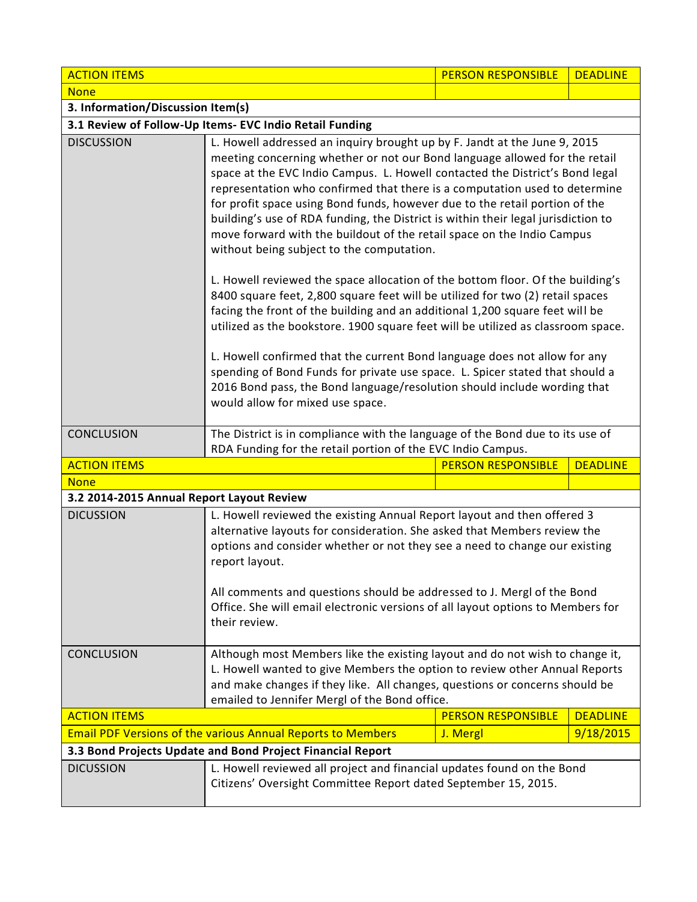| <b>ACTION ITEMS</b>                                                |                                                                                                                                                                                                                                                                                                                                                                                                                                                                                                                                                                                                                                                                                                                                                                                                                                                                                                                                                                                                                                                                                                                                                                                                                                       | <b>PERSON RESPONSIBLE</b> | <b>DEADLINE</b> |  |  |
|--------------------------------------------------------------------|---------------------------------------------------------------------------------------------------------------------------------------------------------------------------------------------------------------------------------------------------------------------------------------------------------------------------------------------------------------------------------------------------------------------------------------------------------------------------------------------------------------------------------------------------------------------------------------------------------------------------------------------------------------------------------------------------------------------------------------------------------------------------------------------------------------------------------------------------------------------------------------------------------------------------------------------------------------------------------------------------------------------------------------------------------------------------------------------------------------------------------------------------------------------------------------------------------------------------------------|---------------------------|-----------------|--|--|
| <b>None</b>                                                        |                                                                                                                                                                                                                                                                                                                                                                                                                                                                                                                                                                                                                                                                                                                                                                                                                                                                                                                                                                                                                                                                                                                                                                                                                                       |                           |                 |  |  |
| 3. Information/Discussion Item(s)                                  |                                                                                                                                                                                                                                                                                                                                                                                                                                                                                                                                                                                                                                                                                                                                                                                                                                                                                                                                                                                                                                                                                                                                                                                                                                       |                           |                 |  |  |
| 3.1 Review of Follow-Up Items- EVC Indio Retail Funding            |                                                                                                                                                                                                                                                                                                                                                                                                                                                                                                                                                                                                                                                                                                                                                                                                                                                                                                                                                                                                                                                                                                                                                                                                                                       |                           |                 |  |  |
| <b>DISCUSSION</b>                                                  | L. Howell addressed an inquiry brought up by F. Jandt at the June 9, 2015<br>meeting concerning whether or not our Bond language allowed for the retail<br>space at the EVC Indio Campus. L. Howell contacted the District's Bond legal<br>representation who confirmed that there is a computation used to determine<br>for profit space using Bond funds, however due to the retail portion of the<br>building's use of RDA funding, the District is within their legal jurisdiction to<br>move forward with the buildout of the retail space on the Indio Campus<br>without being subject to the computation.<br>L. Howell reviewed the space allocation of the bottom floor. Of the building's<br>8400 square feet, 2,800 square feet will be utilized for two (2) retail spaces<br>facing the front of the building and an additional 1,200 square feet will be<br>utilized as the bookstore. 1900 square feet will be utilized as classroom space.<br>L. Howell confirmed that the current Bond language does not allow for any<br>spending of Bond Funds for private use space. L. Spicer stated that should a<br>2016 Bond pass, the Bond language/resolution should include wording that<br>would allow for mixed use space. |                           |                 |  |  |
| <b>CONCLUSION</b>                                                  | The District is in compliance with the language of the Bond due to its use of<br>RDA Funding for the retail portion of the EVC Indio Campus.                                                                                                                                                                                                                                                                                                                                                                                                                                                                                                                                                                                                                                                                                                                                                                                                                                                                                                                                                                                                                                                                                          |                           |                 |  |  |
| <b>ACTION ITEMS</b>                                                |                                                                                                                                                                                                                                                                                                                                                                                                                                                                                                                                                                                                                                                                                                                                                                                                                                                                                                                                                                                                                                                                                                                                                                                                                                       | <b>PERSON RESPONSIBLE</b> | <b>DEADLINE</b> |  |  |
| <b>None</b>                                                        |                                                                                                                                                                                                                                                                                                                                                                                                                                                                                                                                                                                                                                                                                                                                                                                                                                                                                                                                                                                                                                                                                                                                                                                                                                       |                           |                 |  |  |
| 3.2 2014-2015 Annual Report Layout Review                          |                                                                                                                                                                                                                                                                                                                                                                                                                                                                                                                                                                                                                                                                                                                                                                                                                                                                                                                                                                                                                                                                                                                                                                                                                                       |                           |                 |  |  |
| <b>DICUSSION</b>                                                   | L. Howell reviewed the existing Annual Report layout and then offered 3<br>alternative layouts for consideration. She asked that Members review the<br>options and consider whether or not they see a need to change our existing<br>report layout.<br>All comments and questions should be addressed to J. Mergl of the Bond<br>Office. She will email electronic versions of all layout options to Members for<br>their review.                                                                                                                                                                                                                                                                                                                                                                                                                                                                                                                                                                                                                                                                                                                                                                                                     |                           |                 |  |  |
| <b>CONCLUSION</b>                                                  | Although most Members like the existing layout and do not wish to change it,<br>L. Howell wanted to give Members the option to review other Annual Reports<br>and make changes if they like. All changes, questions or concerns should be<br>emailed to Jennifer Mergl of the Bond office.                                                                                                                                                                                                                                                                                                                                                                                                                                                                                                                                                                                                                                                                                                                                                                                                                                                                                                                                            |                           |                 |  |  |
| <b>ACTION ITEMS</b>                                                |                                                                                                                                                                                                                                                                                                                                                                                                                                                                                                                                                                                                                                                                                                                                                                                                                                                                                                                                                                                                                                                                                                                                                                                                                                       | <b>PERSON RESPONSIBLE</b> | <b>DEADLINE</b> |  |  |
| <b>Email PDF Versions of the various Annual Reports to Members</b> |                                                                                                                                                                                                                                                                                                                                                                                                                                                                                                                                                                                                                                                                                                                                                                                                                                                                                                                                                                                                                                                                                                                                                                                                                                       | J. Mergl                  | 9/18/2015       |  |  |
| 3.3 Bond Projects Update and Bond Project Financial Report         |                                                                                                                                                                                                                                                                                                                                                                                                                                                                                                                                                                                                                                                                                                                                                                                                                                                                                                                                                                                                                                                                                                                                                                                                                                       |                           |                 |  |  |
| <b>DICUSSION</b>                                                   | L. Howell reviewed all project and financial updates found on the Bond<br>Citizens' Oversight Committee Report dated September 15, 2015.                                                                                                                                                                                                                                                                                                                                                                                                                                                                                                                                                                                                                                                                                                                                                                                                                                                                                                                                                                                                                                                                                              |                           |                 |  |  |